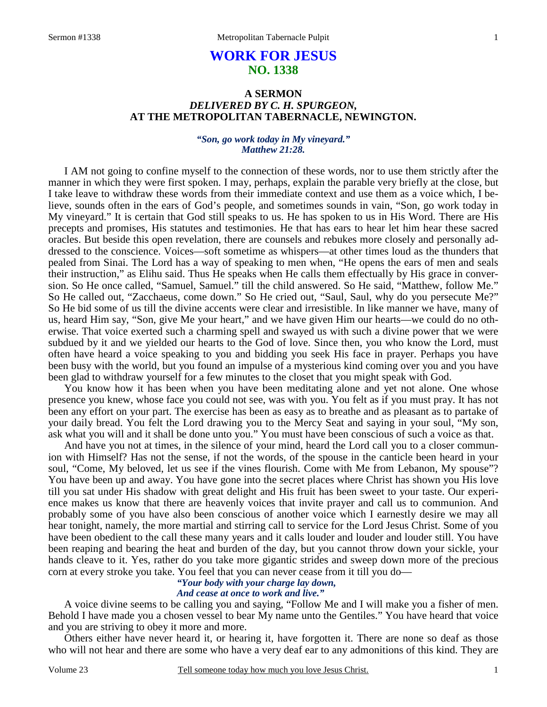# **WORK FOR JESUS NO. 1338**

## **A SERMON**  *DELIVERED BY C. H. SPURGEON,*  **AT THE METROPOLITAN TABERNACLE, NEWINGTON.**

#### *"Son, go work today in My vineyard." Matthew 21:28.*

I AM not going to confine myself to the connection of these words, nor to use them strictly after the manner in which they were first spoken. I may, perhaps, explain the parable very briefly at the close, but I take leave to withdraw these words from their immediate context and use them as a voice which, I believe, sounds often in the ears of God's people, and sometimes sounds in vain, "Son, go work today in My vineyard." It is certain that God still speaks to us. He has spoken to us in His Word. There are His precepts and promises, His statutes and testimonies. He that has ears to hear let him hear these sacred oracles. But beside this open revelation, there are counsels and rebukes more closely and personally addressed to the conscience. Voices—soft sometime as whispers—at other times loud as the thunders that pealed from Sinai. The Lord has a way of speaking to men when, "He opens the ears of men and seals their instruction," as Elihu said. Thus He speaks when He calls them effectually by His grace in conversion. So He once called, "Samuel, Samuel." till the child answered. So He said, "Matthew, follow Me." So He called out, "Zacchaeus, come down." So He cried out, "Saul, Saul, why do you persecute Me?" So He bid some of us till the divine accents were clear and irresistible. In like manner we have, many of us, heard Him say, "Son, give Me your heart," and we have given Him our hearts—we could do no otherwise. That voice exerted such a charming spell and swayed us with such a divine power that we were subdued by it and we yielded our hearts to the God of love. Since then, you who know the Lord, must often have heard a voice speaking to you and bidding you seek His face in prayer. Perhaps you have been busy with the world, but you found an impulse of a mysterious kind coming over you and you have been glad to withdraw yourself for a few minutes to the closet that you might speak with God.

You know how it has been when you have been meditating alone and yet not alone. One whose presence you knew, whose face you could not see, was with you. You felt as if you must pray. It has not been any effort on your part. The exercise has been as easy as to breathe and as pleasant as to partake of your daily bread. You felt the Lord drawing you to the Mercy Seat and saying in your soul, "My son, ask what you will and it shall be done unto you." You must have been conscious of such a voice as that.

And have you not at times, in the silence of your mind, heard the Lord call you to a closer communion with Himself? Has not the sense, if not the words, of the spouse in the canticle been heard in your soul, "Come, My beloved, let us see if the vines flourish. Come with Me from Lebanon, My spouse"? You have been up and away. You have gone into the secret places where Christ has shown you His love till you sat under His shadow with great delight and His fruit has been sweet to your taste. Our experience makes us know that there are heavenly voices that invite prayer and call us to communion. And probably some of you have also been conscious of another voice which I earnestly desire we may all hear tonight, namely, the more martial and stirring call to service for the Lord Jesus Christ. Some of you have been obedient to the call these many years and it calls louder and louder and louder still. You have been reaping and bearing the heat and burden of the day, but you cannot throw down your sickle, your hands cleave to it. Yes, rather do you take more gigantic strides and sweep down more of the precious corn at every stroke you take. You feel that you can never cease from it till you do—

# *"Your body with your charge lay down,*

## *And cease at once to work and live."*

A voice divine seems to be calling you and saying, "Follow Me and I will make you a fisher of men. Behold I have made you a chosen vessel to bear My name unto the Gentiles." You have heard that voice and you are striving to obey it more and more.

Others either have never heard it, or hearing it, have forgotten it. There are none so deaf as those who will not hear and there are some who have a very deaf ear to any admonitions of this kind. They are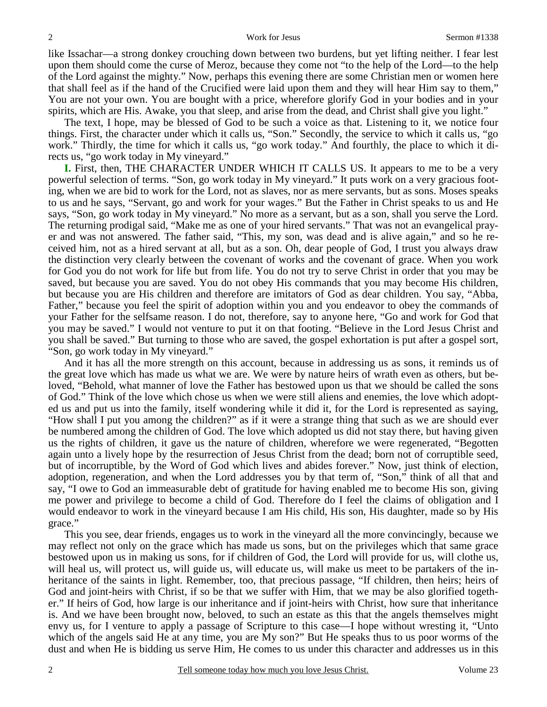like Issachar—a strong donkey crouching down between two burdens, but yet lifting neither. I fear lest upon them should come the curse of Meroz, because they come not "to the help of the Lord—to the help of the Lord against the mighty." Now, perhaps this evening there are some Christian men or women here that shall feel as if the hand of the Crucified were laid upon them and they will hear Him say to them," You are not your own. You are bought with a price, wherefore glorify God in your bodies and in your spirits, which are His. Awake, you that sleep, and arise from the dead, and Christ shall give you light."

The text, I hope, may be blessed of God to be such a voice as that. Listening to it, we notice four things. First, the character under which it calls us, "Son." Secondly, the service to which it calls us, "go work." Thirdly, the time for which it calls us, "go work today." And fourthly, the place to which it directs us, "go work today in My vineyard."

**I.** First, then, THE CHARACTER UNDER WHICH IT CALLS US. It appears to me to be a very powerful selection of terms. "Son, go work today in My vineyard." It puts work on a very gracious footing, when we are bid to work for the Lord, not as slaves, nor as mere servants, but as sons. Moses speaks to us and he says, "Servant, go and work for your wages." But the Father in Christ speaks to us and He says, "Son, go work today in My vineyard." No more as a servant, but as a son, shall you serve the Lord. The returning prodigal said, "Make me as one of your hired servants." That was not an evangelical prayer and was not answered. The father said, "This, my son, was dead and is alive again," and so he received him, not as a hired servant at all, but as a son. Oh, dear people of God, I trust you always draw the distinction very clearly between the covenant of works and the covenant of grace. When you work for God you do not work for life but from life. You do not try to serve Christ in order that you may be saved, but because you are saved. You do not obey His commands that you may become His children, but because you are His children and therefore are imitators of God as dear children. You say, "Abba, Father," because you feel the spirit of adoption within you and you endeavor to obey the commands of your Father for the selfsame reason. I do not, therefore, say to anyone here, "Go and work for God that you may be saved." I would not venture to put it on that footing. "Believe in the Lord Jesus Christ and you shall be saved." But turning to those who are saved, the gospel exhortation is put after a gospel sort, "Son, go work today in My vineyard."

And it has all the more strength on this account, because in addressing us as sons, it reminds us of the great love which has made us what we are. We were by nature heirs of wrath even as others, but beloved, "Behold, what manner of love the Father has bestowed upon us that we should be called the sons of God." Think of the love which chose us when we were still aliens and enemies, the love which adopted us and put us into the family, itself wondering while it did it, for the Lord is represented as saying, "How shall I put you among the children?" as if it were a strange thing that such as we are should ever be numbered among the children of God. The love which adopted us did not stay there, but having given us the rights of children, it gave us the nature of children, wherefore we were regenerated, "Begotten again unto a lively hope by the resurrection of Jesus Christ from the dead; born not of corruptible seed, but of incorruptible, by the Word of God which lives and abides forever." Now, just think of election, adoption, regeneration, and when the Lord addresses you by that term of, "Son," think of all that and say, "I owe to God an immeasurable debt of gratitude for having enabled me to become His son, giving me power and privilege to become a child of God. Therefore do I feel the claims of obligation and I would endeavor to work in the vineyard because I am His child, His son, His daughter, made so by His grace."

This you see, dear friends, engages us to work in the vineyard all the more convincingly, because we may reflect not only on the grace which has made us sons, but on the privileges which that same grace bestowed upon us in making us sons, for if children of God, the Lord will provide for us, will clothe us, will heal us, will protect us, will guide us, will educate us, will make us meet to be partakers of the inheritance of the saints in light. Remember, too, that precious passage, "If children, then heirs; heirs of God and joint-heirs with Christ, if so be that we suffer with Him, that we may be also glorified together." If heirs of God, how large is our inheritance and if joint-heirs with Christ, how sure that inheritance is. And we have been brought now, beloved, to such an estate as this that the angels themselves might envy us, for I venture to apply a passage of Scripture to this case—I hope without wresting it, "Unto which of the angels said He at any time, you are My son?" But He speaks thus to us poor worms of the dust and when He is bidding us serve Him, He comes to us under this character and addresses us in this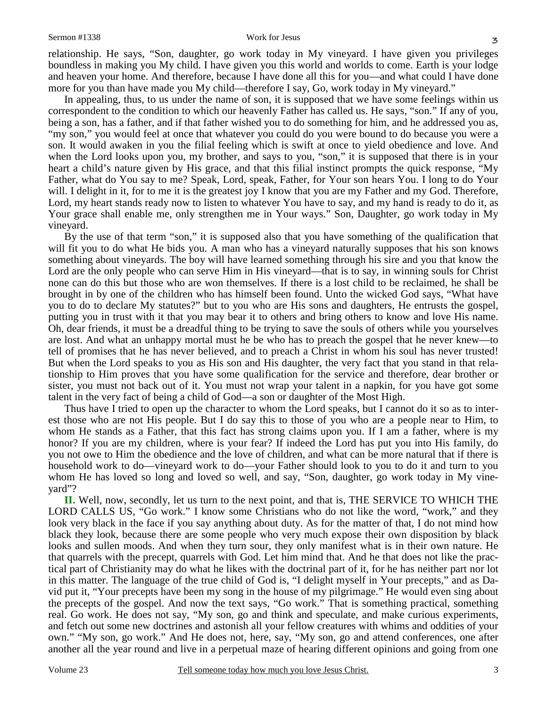relationship. He says, "Son, daughter, go work today in My vineyard. I have given you privileges boundless in making you My child. I have given you this world and worlds to come. Earth is your lodge and heaven your home. And therefore, because I have done all this for you—and what could I have done more for you than have made you My child—therefore I say, Go, work today in My vineyard."

In appealing, thus, to us under the name of son, it is supposed that we have some feelings within us correspondent to the condition to which our heavenly Father has called us. He says, "son." If any of you, being a son, has a father, and if that father wished you to do something for him, and he addressed you as, "my son," you would feel at once that whatever you could do you were bound to do because you were a son. It would awaken in you the filial feeling which is swift at once to yield obedience and love. And when the Lord looks upon you, my brother, and says to you, "son," it is supposed that there is in your heart a child's nature given by His grace, and that this filial instinct prompts the quick response, "My Father, what do You say to me? Speak, Lord, speak, Father, for Your son hears You. I long to do Your will. I delight in it, for to me it is the greatest joy I know that you are my Father and my God. Therefore, Lord, my heart stands ready now to listen to whatever You have to say, and my hand is ready to do it, as Your grace shall enable me, only strengthen me in Your ways." Son, Daughter, go work today in My vineyard.

By the use of that term "son," it is supposed also that you have something of the qualification that will fit you to do what He bids you. A man who has a vineyard naturally supposes that his son knows something about vineyards. The boy will have learned something through his sire and you that know the Lord are the only people who can serve Him in His vineyard—that is to say, in winning souls for Christ none can do this but those who are won themselves. If there is a lost child to be reclaimed, he shall be brought in by one of the children who has himself been found. Unto the wicked God says, "What have you to do to declare My statutes?" but to you who are His sons and daughters, He entrusts the gospel, putting you in trust with it that you may bear it to others and bring others to know and love His name. Oh, dear friends, it must be a dreadful thing to be trying to save the souls of others while you yourselves are lost. And what an unhappy mortal must he be who has to preach the gospel that he never knew—to tell of promises that he has never believed, and to preach a Christ in whom his soul has never trusted! But when the Lord speaks to you as His son and His daughter, the very fact that you stand in that relationship to Him proves that you have some qualification for the service and therefore, dear brother or sister, you must not back out of it. You must not wrap your talent in a napkin, for you have got some talent in the very fact of being a child of God—a son or daughter of the Most High.

Thus have I tried to open up the character to whom the Lord speaks, but I cannot do it so as to interest those who are not His people. But I do say this to those of you who are a people near to Him, to whom He stands as a Father, that this fact has strong claims upon you. If I am a father, where is my honor? If you are my children, where is your fear? If indeed the Lord has put you into His family, do you not owe to Him the obedience and the love of children, and what can be more natural that if there is household work to do—vineyard work to do—your Father should look to you to do it and turn to you whom He has loved so long and loved so well, and say, "Son, daughter, go work today in My vineyard"?

**II.** Well, now, secondly, let us turn to the next point, and that is, THE SERVICE TO WHICH THE LORD CALLS US, "Go work." I know some Christians who do not like the word, "work," and they look very black in the face if you say anything about duty. As for the matter of that, I do not mind how black they look, because there are some people who very much expose their own disposition by black looks and sullen moods. And when they turn sour, they only manifest what is in their own nature. He that quarrels with the precept, quarrels with God. Let him mind that. And he that does not like the practical part of Christianity may do what he likes with the doctrinal part of it, for he has neither part nor lot in this matter. The language of the true child of God is, "I delight myself in Your precepts," and as David put it, "Your precepts have been my song in the house of my pilgrimage." He would even sing about the precepts of the gospel. And now the text says, "Go work." That is something practical, something real. Go work. He does not say, "My son, go and think and speculate, and make curious experiments, and fetch out some new doctrines and astonish all your fellow creatures with whims and oddities of your own." "My son, go work." And He does not, here, say, "My son, go and attend conferences, one after another all the year round and live in a perpetual maze of hearing different opinions and going from one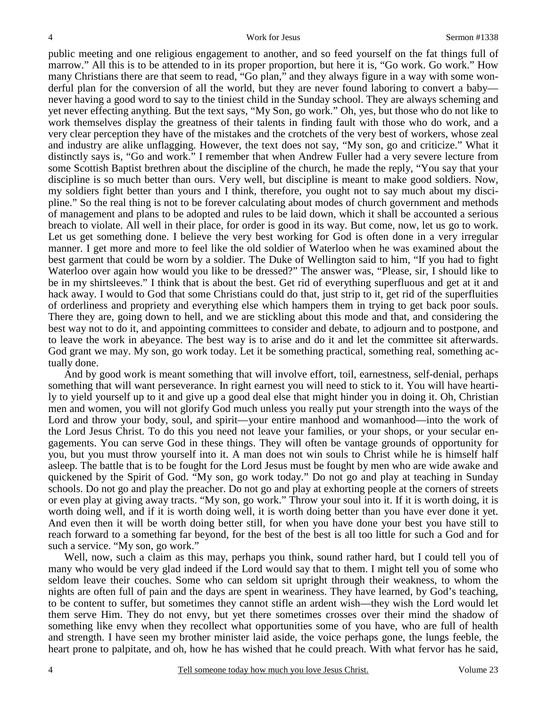public meeting and one religious engagement to another, and so feed yourself on the fat things full of marrow." All this is to be attended to in its proper proportion, but here it is, "Go work. Go work." How many Christians there are that seem to read, "Go plan," and they always figure in a way with some wonderful plan for the conversion of all the world, but they are never found laboring to convert a baby never having a good word to say to the tiniest child in the Sunday school. They are always scheming and yet never effecting anything. But the text says, "My Son, go work." Oh, yes, but those who do not like to work themselves display the greatness of their talents in finding fault with those who do work, and a very clear perception they have of the mistakes and the crotchets of the very best of workers, whose zeal and industry are alike unflagging. However, the text does not say, "My son, go and criticize." What it distinctly says is, "Go and work." I remember that when Andrew Fuller had a very severe lecture from some Scottish Baptist brethren about the discipline of the church, he made the reply, "You say that your discipline is so much better than ours. Very well, but discipline is meant to make good soldiers. Now, my soldiers fight better than yours and I think, therefore, you ought not to say much about my discipline." So the real thing is not to be forever calculating about modes of church government and methods of management and plans to be adopted and rules to be laid down, which it shall be accounted a serious breach to violate. All well in their place, for order is good in its way. But come, now, let us go to work. Let us get something done. I believe the very best working for God is often done in a very irregular manner. I get more and more to feel like the old soldier of Waterloo when he was examined about the best garment that could be worn by a soldier. The Duke of Wellington said to him, "If you had to fight Waterloo over again how would you like to be dressed?" The answer was, "Please, sir, I should like to be in my shirtsleeves." I think that is about the best. Get rid of everything superfluous and get at it and hack away. I would to God that some Christians could do that, just strip to it, get rid of the superfluities of orderliness and propriety and everything else which hampers them in trying to get back poor souls. There they are, going down to hell, and we are stickling about this mode and that, and considering the best way not to do it, and appointing committees to consider and debate, to adjourn and to postpone, and to leave the work in abeyance. The best way is to arise and do it and let the committee sit afterwards. God grant we may. My son, go work today. Let it be something practical, something real, something actually done.

And by good work is meant something that will involve effort, toil, earnestness, self-denial, perhaps something that will want perseverance. In right earnest you will need to stick to it. You will have heartily to yield yourself up to it and give up a good deal else that might hinder you in doing it. Oh, Christian men and women, you will not glorify God much unless you really put your strength into the ways of the Lord and throw your body, soul, and spirit—your entire manhood and womanhood—into the work of the Lord Jesus Christ. To do this you need not leave your families, or your shops, or your secular engagements. You can serve God in these things. They will often be vantage grounds of opportunity for you, but you must throw yourself into it. A man does not win souls to Christ while he is himself half asleep. The battle that is to be fought for the Lord Jesus must be fought by men who are wide awake and quickened by the Spirit of God. "My son, go work today." Do not go and play at teaching in Sunday schools. Do not go and play the preacher. Do not go and play at exhorting people at the corners of streets or even play at giving away tracts. "My son, go work." Throw your soul into it. If it is worth doing, it is worth doing well, and if it is worth doing well, it is worth doing better than you have ever done it yet. And even then it will be worth doing better still, for when you have done your best you have still to reach forward to a something far beyond, for the best of the best is all too little for such a God and for such a service. "My son, go work."

Well, now, such a claim as this may, perhaps you think, sound rather hard, but I could tell you of many who would be very glad indeed if the Lord would say that to them. I might tell you of some who seldom leave their couches. Some who can seldom sit upright through their weakness, to whom the nights are often full of pain and the days are spent in weariness. They have learned, by God's teaching, to be content to suffer, but sometimes they cannot stifle an ardent wish—they wish the Lord would let them serve Him. They do not envy, but yet there sometimes crosses over their mind the shadow of something like envy when they recollect what opportunities some of you have, who are full of health and strength. I have seen my brother minister laid aside, the voice perhaps gone, the lungs feeble, the heart prone to palpitate, and oh, how he has wished that he could preach. With what fervor has he said,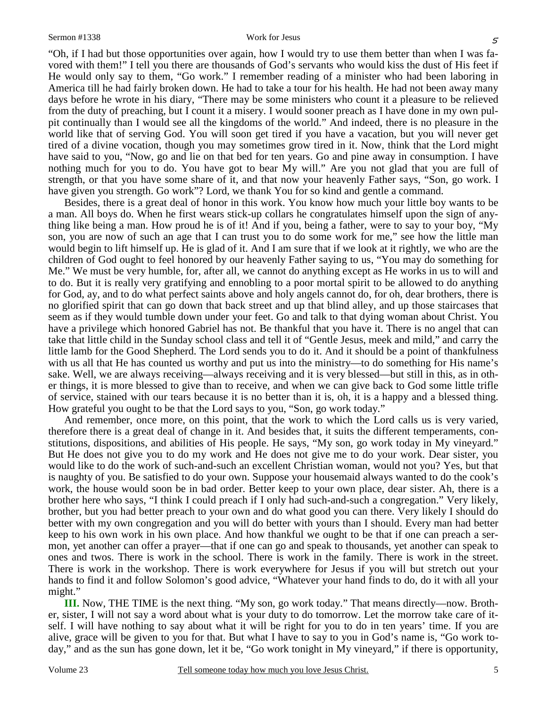"Oh, if I had but those opportunities over again, how I would try to use them better than when I was favored with them!" I tell you there are thousands of God's servants who would kiss the dust of His feet if He would only say to them, "Go work." I remember reading of a minister who had been laboring in America till he had fairly broken down. He had to take a tour for his health. He had not been away many days before he wrote in his diary, "There may be some ministers who count it a pleasure to be relieved from the duty of preaching, but I count it a misery. I would sooner preach as I have done in my own pulpit continually than I would see all the kingdoms of the world." And indeed, there is no pleasure in the world like that of serving God. You will soon get tired if you have a vacation, but you will never get tired of a divine vocation, though you may sometimes grow tired in it. Now, think that the Lord might have said to you, "Now, go and lie on that bed for ten years. Go and pine away in consumption. I have nothing much for you to do. You have got to bear My will." Are you not glad that you are full of strength, or that you have some share of it, and that now your heavenly Father says, "Son, go work. I have given you strength. Go work"? Lord, we thank You for so kind and gentle a command.

Besides, there is a great deal of honor in this work. You know how much your little boy wants to be a man. All boys do. When he first wears stick-up collars he congratulates himself upon the sign of anything like being a man. How proud he is of it! And if you, being a father, were to say to your boy, "My son, you are now of such an age that I can trust you to do some work for me," see how the little man would begin to lift himself up. He is glad of it. And I am sure that if we look at it rightly, we who are the children of God ought to feel honored by our heavenly Father saying to us, "You may do something for Me." We must be very humble, for, after all, we cannot do anything except as He works in us to will and to do. But it is really very gratifying and ennobling to a poor mortal spirit to be allowed to do anything for God, ay, and to do what perfect saints above and holy angels cannot do, for oh, dear brothers, there is no glorified spirit that can go down that back street and up that blind alley, and up those staircases that seem as if they would tumble down under your feet. Go and talk to that dying woman about Christ. You have a privilege which honored Gabriel has not. Be thankful that you have it. There is no angel that can take that little child in the Sunday school class and tell it of "Gentle Jesus, meek and mild," and carry the little lamb for the Good Shepherd. The Lord sends you to do it. And it should be a point of thankfulness with us all that He has counted us worthy and put us into the ministry—to do something for His name's sake. Well, we are always receiving—always receiving and it is very blessed—but still in this, as in other things, it is more blessed to give than to receive, and when we can give back to God some little trifle of service, stained with our tears because it is no better than it is, oh, it is a happy and a blessed thing. How grateful you ought to be that the Lord says to you, "Son, go work today."

And remember, once more, on this point, that the work to which the Lord calls us is very varied, therefore there is a great deal of change in it. And besides that, it suits the different temperaments, constitutions, dispositions, and abilities of His people. He says, "My son, go work today in My vineyard." But He does not give you to do my work and He does not give me to do your work. Dear sister, you would like to do the work of such-and-such an excellent Christian woman, would not you? Yes, but that is naughty of you. Be satisfied to do your own. Suppose your housemaid always wanted to do the cook's work, the house would soon be in bad order. Better keep to your own place, dear sister. Ah, there is a brother here who says, "I think I could preach if I only had such-and-such a congregation." Very likely, brother, but you had better preach to your own and do what good you can there. Very likely I should do better with my own congregation and you will do better with yours than I should. Every man had better keep to his own work in his own place. And how thankful we ought to be that if one can preach a sermon, yet another can offer a prayer—that if one can go and speak to thousands, yet another can speak to ones and twos. There is work in the school. There is work in the family. There is work in the street. There is work in the workshop. There is work everywhere for Jesus if you will but stretch out your hands to find it and follow Solomon's good advice, "Whatever your hand finds to do, do it with all your might."

**III.** Now, THE TIME is the next thing. "My son, go work today." That means directly—now. Brother, sister, I will not say a word about what is your duty to do tomorrow. Let the morrow take care of itself. I will have nothing to say about what it will be right for you to do in ten years' time. If you are alive, grace will be given to you for that. But what I have to say to you in God's name is, "Go work today," and as the sun has gone down, let it be, "Go work tonight in My vineyard," if there is opportunity,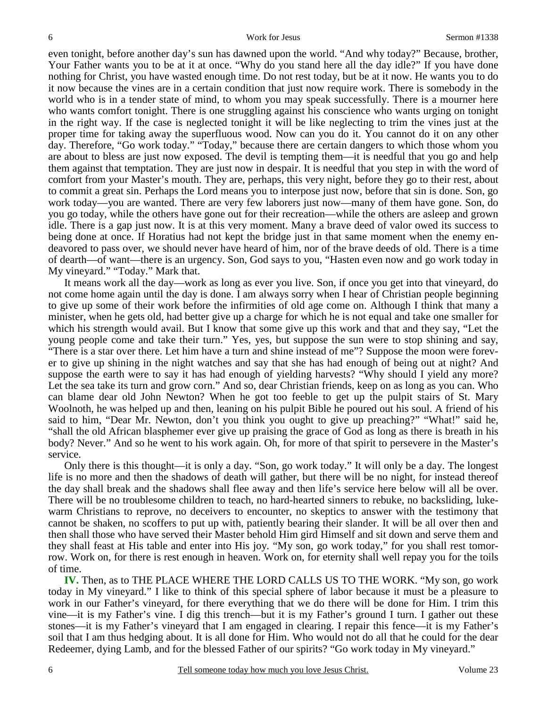even tonight, before another day's sun has dawned upon the world. "And why today?" Because, brother, Your Father wants you to be at it at once. "Why do you stand here all the day idle?" If you have done nothing for Christ, you have wasted enough time. Do not rest today, but be at it now. He wants you to do it now because the vines are in a certain condition that just now require work. There is somebody in the world who is in a tender state of mind, to whom you may speak successfully. There is a mourner here who wants comfort tonight. There is one struggling against his conscience who wants urging on tonight in the right way. If the case is neglected tonight it will be like neglecting to trim the vines just at the proper time for taking away the superfluous wood. Now can you do it. You cannot do it on any other day. Therefore, "Go work today." "Today," because there are certain dangers to which those whom you are about to bless are just now exposed. The devil is tempting them—it is needful that you go and help them against that temptation. They are just now in despair. It is needful that you step in with the word of comfort from your Master's mouth. They are, perhaps, this very night, before they go to their rest, about to commit a great sin. Perhaps the Lord means you to interpose just now, before that sin is done. Son, go work today—you are wanted. There are very few laborers just now—many of them have gone. Son, do you go today, while the others have gone out for their recreation—while the others are asleep and grown idle. There is a gap just now. It is at this very moment. Many a brave deed of valor owed its success to being done at once. If Horatius had not kept the bridge just in that same moment when the enemy endeavored to pass over, we should never have heard of him, nor of the brave deeds of old. There is a time of dearth—of want—there is an urgency. Son, God says to you, "Hasten even now and go work today in My vineyard." "Today." Mark that.

It means work all the day—work as long as ever you live. Son, if once you get into that vineyard, do not come home again until the day is done. I am always sorry when I hear of Christian people beginning to give up some of their work before the infirmities of old age come on. Although I think that many a minister, when he gets old, had better give up a charge for which he is not equal and take one smaller for which his strength would avail. But I know that some give up this work and that and they say, "Let the young people come and take their turn." Yes, yes, but suppose the sun were to stop shining and say, "There is a star over there. Let him have a turn and shine instead of me"? Suppose the moon were forever to give up shining in the night watches and say that she has had enough of being out at night? And suppose the earth were to say it has had enough of yielding harvests? "Why should I yield any more? Let the sea take its turn and grow corn." And so, dear Christian friends, keep on as long as you can. Who can blame dear old John Newton? When he got too feeble to get up the pulpit stairs of St. Mary Woolnoth, he was helped up and then, leaning on his pulpit Bible he poured out his soul. A friend of his said to him, "Dear Mr. Newton, don't you think you ought to give up preaching?" "What!" said he, "shall the old African blasphemer ever give up praising the grace of God as long as there is breath in his body? Never." And so he went to his work again. Oh, for more of that spirit to persevere in the Master's service.

Only there is this thought—it is only a day. "Son, go work today." It will only be a day. The longest life is no more and then the shadows of death will gather, but there will be no night, for instead thereof the day shall break and the shadows shall flee away and then life's service here below will all be over. There will be no troublesome children to teach, no hard-hearted sinners to rebuke, no backsliding, lukewarm Christians to reprove, no deceivers to encounter, no skeptics to answer with the testimony that cannot be shaken, no scoffers to put up with, patiently bearing their slander. It will be all over then and then shall those who have served their Master behold Him gird Himself and sit down and serve them and they shall feast at His table and enter into His joy. "My son, go work today," for you shall rest tomorrow. Work on, for there is rest enough in heaven. Work on, for eternity shall well repay you for the toils of time.

**IV.** Then, as to THE PLACE WHERE THE LORD CALLS US TO THE WORK. "My son, go work today in My vineyard." I like to think of this special sphere of labor because it must be a pleasure to work in our Father's vineyard, for there everything that we do there will be done for Him. I trim this vine—it is my Father's vine. I dig this trench—but it is my Father's ground I turn. I gather out these stones—it is my Father's vineyard that I am engaged in clearing. I repair this fence—it is my Father's soil that I am thus hedging about. It is all done for Him. Who would not do all that he could for the dear Redeemer, dying Lamb, and for the blessed Father of our spirits? "Go work today in My vineyard."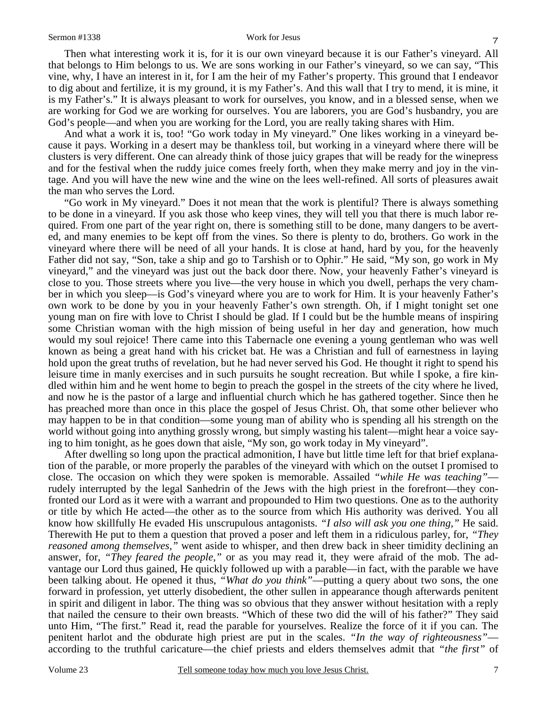#### Sermon #1338 Work for Jesus

Then what interesting work it is, for it is our own vineyard because it is our Father's vineyard. All that belongs to Him belongs to us. We are sons working in our Father's vineyard, so we can say, "This vine, why, I have an interest in it, for I am the heir of my Father's property. This ground that I endeavor to dig about and fertilize, it is my ground, it is my Father's. And this wall that I try to mend, it is mine, it is my Father's." It is always pleasant to work for ourselves, you know, and in a blessed sense, when we are working for God we are working for ourselves. You are laborers, you are God's husbandry, you are God's people—and when you are working for the Lord, you are really taking shares with Him.

And what a work it is, too! "Go work today in My vineyard." One likes working in a vineyard because it pays. Working in a desert may be thankless toil, but working in a vineyard where there will be clusters is very different. One can already think of those juicy grapes that will be ready for the winepress and for the festival when the ruddy juice comes freely forth, when they make merry and joy in the vintage. And you will have the new wine and the wine on the lees well-refined. All sorts of pleasures await the man who serves the Lord.

"Go work in My vineyard." Does it not mean that the work is plentiful? There is always something to be done in a vineyard. If you ask those who keep vines, they will tell you that there is much labor required. From one part of the year right on, there is something still to be done, many dangers to be averted, and many enemies to be kept off from the vines. So there is plenty to do, brothers. Go work in the vineyard where there will be need of all your hands. It is close at hand, hard by you, for the heavenly Father did not say, "Son, take a ship and go to Tarshish or to Ophir." He said, "My son, go work in My vineyard," and the vineyard was just out the back door there. Now, your heavenly Father's vineyard is close to you. Those streets where you live—the very house in which you dwell, perhaps the very chamber in which you sleep—is God's vineyard where you are to work for Him. It is your heavenly Father's own work to be done by you in your heavenly Father's own strength. Oh, if I might tonight set one young man on fire with love to Christ I should be glad. If I could but be the humble means of inspiring some Christian woman with the high mission of being useful in her day and generation, how much would my soul rejoice! There came into this Tabernacle one evening a young gentleman who was well known as being a great hand with his cricket bat. He was a Christian and full of earnestness in laying hold upon the great truths of revelation, but he had never served his God. He thought it right to spend his leisure time in manly exercises and in such pursuits he sought recreation. But while I spoke, a fire kindled within him and he went home to begin to preach the gospel in the streets of the city where he lived, and now he is the pastor of a large and influential church which he has gathered together. Since then he has preached more than once in this place the gospel of Jesus Christ. Oh, that some other believer who may happen to be in that condition—some young man of ability who is spending all his strength on the world without going into anything grossly wrong, but simply wasting his talent—might hear a voice saying to him tonight, as he goes down that aisle, "My son, go work today in My vineyard".

After dwelling so long upon the practical admonition, I have but little time left for that brief explanation of the parable, or more properly the parables of the vineyard with which on the outset I promised to close. The occasion on which they were spoken is memorable. Assailed *"while He was teaching"* rudely interrupted by the legal Sanhedrin of the Jews with the high priest in the forefront—they confronted our Lord as it were with a warrant and propounded to Him two questions. One as to the authority or title by which He acted—the other as to the source from which His authority was derived. You all know how skillfully He evaded His unscrupulous antagonists. *"I also will ask you one thing,"* He said. Therewith He put to them a question that proved a poser and left them in a ridiculous parley, for, *"They reasoned among themselves,"* went aside to whisper, and then drew back in sheer timidity declining an answer, for, *"They feared the people,"* or as you may read it, they were afraid of the mob. The advantage our Lord thus gained, He quickly followed up with a parable—in fact, with the parable we have been talking about. He opened it thus, *"What do you think"*—putting a query about two sons, the one forward in profession, yet utterly disobedient, the other sullen in appearance though afterwards penitent in spirit and diligent in labor. The thing was so obvious that they answer without hesitation with a reply that nailed the censure to their own breasts. "Which of these two did the will of his father?" They said unto Him, "The first." Read it, read the parable for yourselves. Realize the force of it if you can. The penitent harlot and the obdurate high priest are put in the scales. *"In the way of righteousness"* according to the truthful caricature—the chief priests and elders themselves admit that *"the first"* of